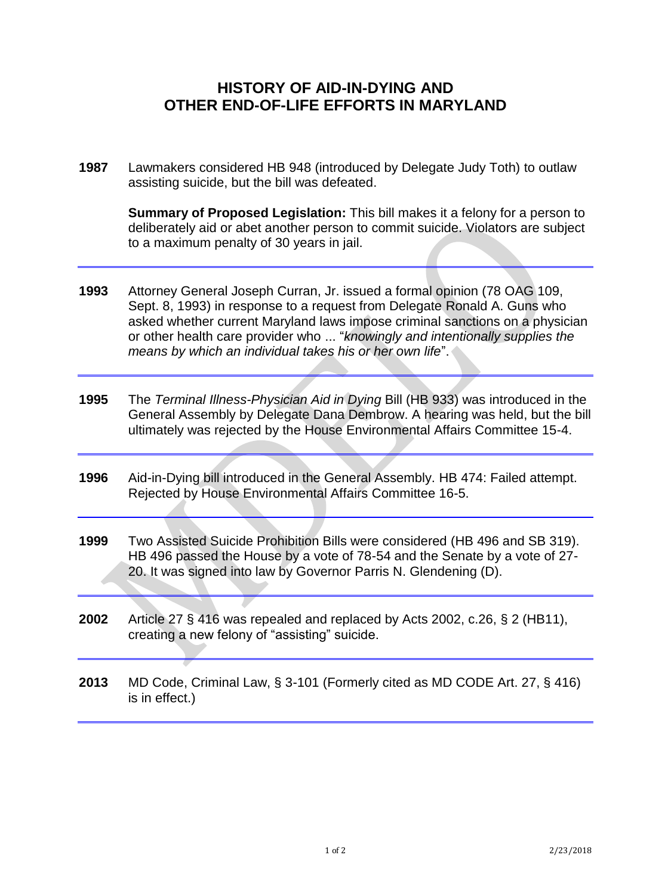## **HISTORY OF AID-IN-DYING AND OTHER END-OF-LIFE EFFORTS IN MARYLAND**

**1987** Lawmakers considered HB 948 (introduced by Delegate Judy Toth) to outlaw assisting suicide, but the bill was defeated.

**Summary of Proposed Legislation:** This bill makes it a felony for a person to deliberately aid or abet another person to commit suicide. Violators are subject to a maximum penalty of 30 years in jail.

- **1993** Attorney General Joseph Curran, Jr. issued a formal opinion (78 OAG 109, Sept. 8, 1993) in response to a request from Delegate Ronald A. Guns who asked whether current Maryland laws impose criminal sanctions on a physician or other health care provider who ... "*knowingly and intentionally supplies the means by which an individual takes his or her own life*".
- **1995** The *Terminal Illness-Physician Aid in Dying* Bill (HB 933) was introduced in the General Assembly by Delegate Dana Dembrow. A hearing was held, but the bill ultimately was rejected by the House Environmental Affairs Committee 15-4.
- **1996** Aid-in-Dying bill introduced in the General Assembly. HB 474: Failed attempt. Rejected by House Environmental Affairs Committee 16-5.
- **1999** Two Assisted Suicide Prohibition Bills were considered (HB 496 and SB 319). HB 496 passed the House by a vote of 78-54 and the Senate by a vote of 27- 20. It was signed into law by Governor Parris N. Glendening (D).
- **2002** Article 27 § 416 was repealed and replaced by Acts 2002, c.26, § 2 (HB11), creating a new felony of "assisting" suicide.
- **2013** MD Code, Criminal Law, § 3-101 (Formerly cited as MD CODE Art. 27, § 416) is in effect.)